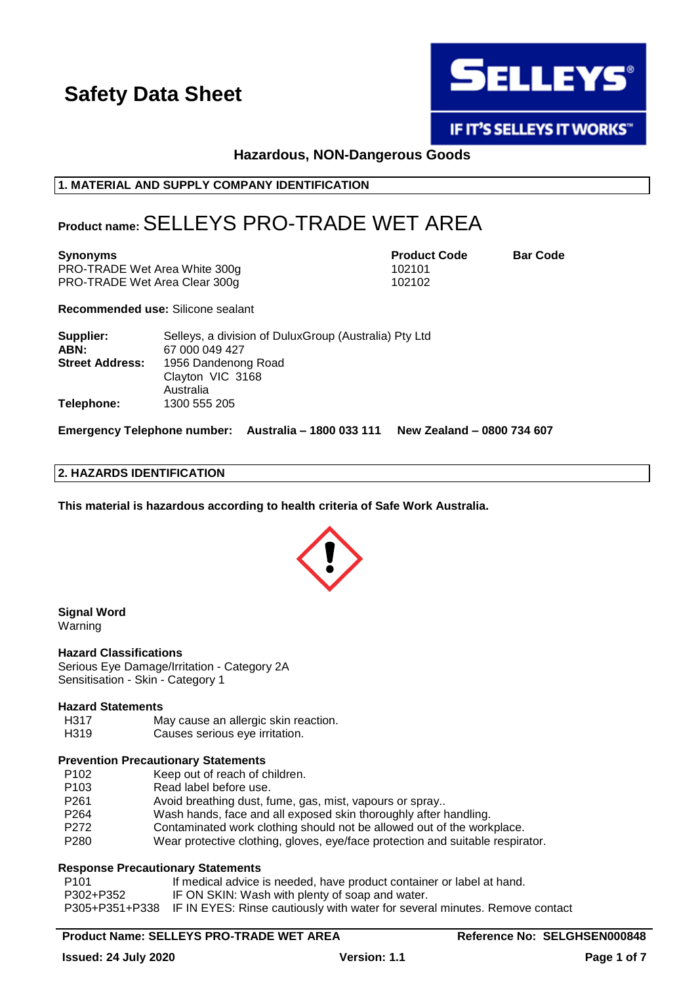

**IF IT'S SELLEYS IT WORKS"** 

### **Hazardous, NON-Dangerous Goods**

#### **1. MATERIAL AND SUPPLY COMPANY IDENTIFICATION**

### **Product name:**SELLEYS PRO-TRADE WET AREA

PRO-TRADE Wet Area White 300g 102101 PRO-TRADE Wet Area Clear 300g 102102

**Synonyms Product Code Bar Code**

**Recommended use:** Silicone sealant

| Supplier:              | Selleys, a division of Dulux Group (Australia) Pty Ltd |
|------------------------|--------------------------------------------------------|
| ABN:                   | 67 000 049 427                                         |
| <b>Street Address:</b> | 1956 Dandenong Road                                    |
|                        | Clayton VIC 3168                                       |
|                        | Australia                                              |
| Telephone:             | 1300 555 205                                           |

**Emergency Telephone number: Australia – 1800 033 111 New Zealand – 0800 734 607**

#### **2. HAZARDS IDENTIFICATION**

**This material is hazardous according to health criteria of Safe Work Australia.**



#### **Signal Word** Warning

#### **Hazard Classifications**

Serious Eye Damage/Irritation - Category 2A Sensitisation - Skin - Category 1

#### **Hazard Statements**

- H317 May cause an allergic skin reaction.
- H319 Causes serious eye irritation.

#### **Prevention Precautionary Statements**

- P102 Keep out of reach of children.
- P103 Read label before use.
- P261 Avoid breathing dust, fume, gas, mist, vapours or spray..
- P264 Wash hands, face and all exposed skin thoroughly after handling.
- P272 Contaminated work clothing should not be allowed out of the workplace.
- P280 Wear protective clothing, gloves, eye/face protection and suitable respirator.

#### **Response Precautionary Statements**

- P101 **If medical advice is needed, have product container or label at hand.** P302+P352 IF ON SKIN: Wash with plenty of soap and water.
- P305+P351+P338 IF IN EYES: Rinse cautiously with water for several minutes. Remove contact

### **Product Name: SELLEYS PRO-TRADE WET AREA Reference No: SELGHSEN000848**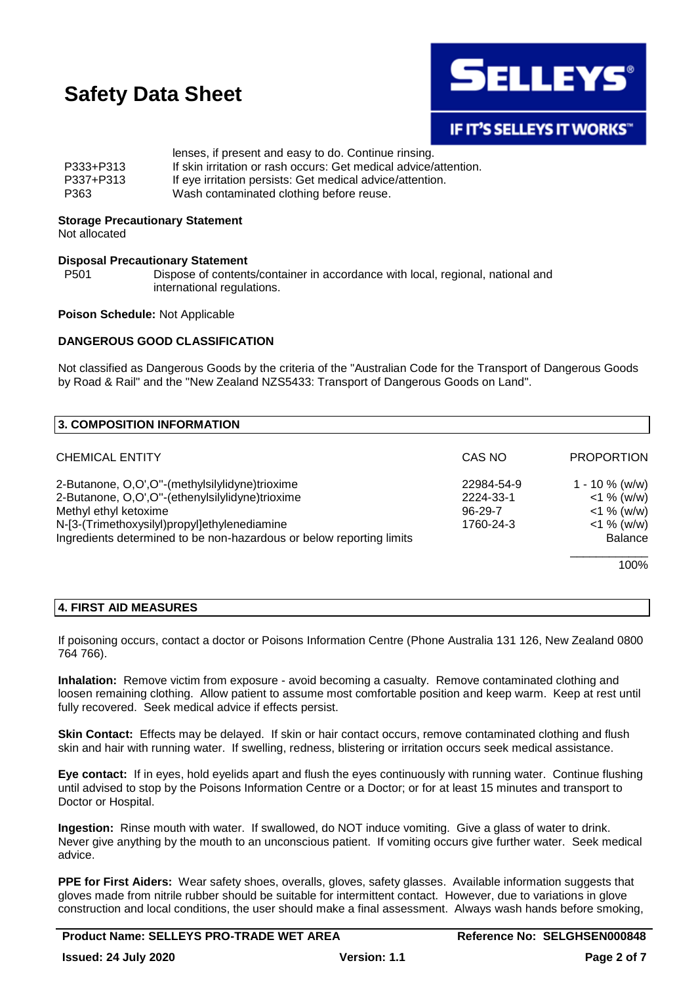

### **IF IT'S SELLEYS IT WORKS"**

|           | lenses, if present and easy to do. Continue rinsing.             |
|-----------|------------------------------------------------------------------|
| P333+P313 | If skin irritation or rash occurs: Get medical advice/attention. |
| P337+P313 | If eye irritation persists: Get medical advice/attention.        |
| P363      | Wash contaminated clothing before reuse.                         |

#### **Storage Precautionary Statement**

Not allocated

#### **Disposal Precautionary Statement**

P501 Dispose of contents/container in accordance with local, regional, national and international regulations.

#### **Poison Schedule:** Not Applicable

#### **DANGEROUS GOOD CLASSIFICATION**

Not classified as Dangerous Goods by the criteria of the "Australian Code for the Transport of Dangerous Goods by Road & Rail" and the "New Zealand NZS5433: Transport of Dangerous Goods on Land".

| 3. COMPOSITION INFORMATION                                           |               |                   |
|----------------------------------------------------------------------|---------------|-------------------|
| <b>CHEMICAL ENTITY</b>                                               | CAS NO        | <b>PROPORTION</b> |
| 2-Butanone, O,O',O"-(methylsilylidyne)trioxime                       | 22984-54-9    | $1 - 10 \%$ (w/w) |
| 2-Butanone, O,O',O"-(ethenylsilylidyne)trioxime                      | 2224-33-1     | $<$ 1 % (w/w)     |
| Methyl ethyl ketoxime                                                | $96 - 29 - 7$ | $<$ 1 % (w/w)     |
| N-[3-(Trimethoxysilyl)propyl]ethylenediamine                         | 1760-24-3     | $<$ 1 % (w/w)     |
| Ingredients determined to be non-hazardous or below reporting limits |               | <b>Balance</b>    |
|                                                                      |               | 100%              |

#### **4. FIRST AID MEASURES**

If poisoning occurs, contact a doctor or Poisons Information Centre (Phone Australia 131 126, New Zealand 0800 764 766).

**Inhalation:** Remove victim from exposure - avoid becoming a casualty. Remove contaminated clothing and loosen remaining clothing. Allow patient to assume most comfortable position and keep warm. Keep at rest until fully recovered. Seek medical advice if effects persist.

**Skin Contact:** Effects may be delayed. If skin or hair contact occurs, remove contaminated clothing and flush skin and hair with running water. If swelling, redness, blistering or irritation occurs seek medical assistance.

**Eye contact:** If in eyes, hold eyelids apart and flush the eyes continuously with running water. Continue flushing until advised to stop by the Poisons Information Centre or a Doctor; or for at least 15 minutes and transport to Doctor or Hospital.

**Ingestion:** Rinse mouth with water. If swallowed, do NOT induce vomiting. Give a glass of water to drink. Never give anything by the mouth to an unconscious patient. If vomiting occurs give further water. Seek medical advice.

**PPE for First Aiders:** Wear safety shoes, overalls, gloves, safety glasses. Available information suggests that gloves made from nitrile rubber should be suitable for intermittent contact. However, due to variations in glove construction and local conditions, the user should make a final assessment. Always wash hands before smoking,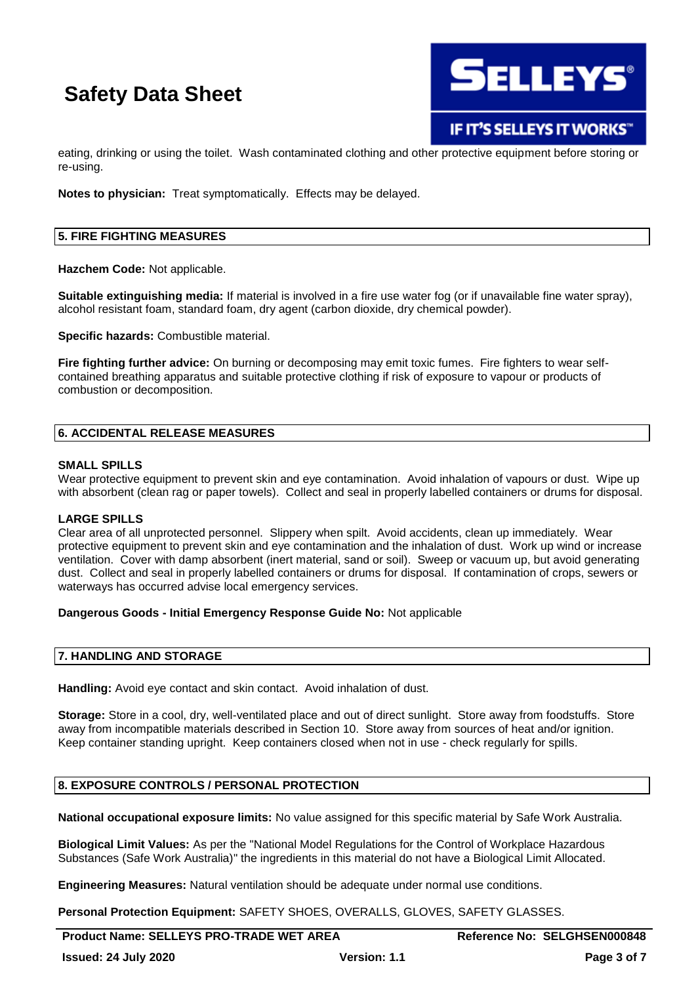

eating, drinking or using the toilet. Wash contaminated clothing and other protective equipment before storing or re-using.

**Notes to physician:** Treat symptomatically. Effects may be delayed.

#### **5. FIRE FIGHTING MEASURES**

**Hazchem Code:** Not applicable.

**Suitable extinguishing media:** If material is involved in a fire use water fog (or if unavailable fine water spray), alcohol resistant foam, standard foam, dry agent (carbon dioxide, dry chemical powder).

**Specific hazards:** Combustible material.

**Fire fighting further advice:** On burning or decomposing may emit toxic fumes. Fire fighters to wear selfcontained breathing apparatus and suitable protective clothing if risk of exposure to vapour or products of combustion or decomposition.

#### **6. ACCIDENTAL RELEASE MEASURES**

#### **SMALL SPILLS**

Wear protective equipment to prevent skin and eye contamination. Avoid inhalation of vapours or dust. Wipe up with absorbent (clean rag or paper towels). Collect and seal in properly labelled containers or drums for disposal.

#### **LARGE SPILLS**

Clear area of all unprotected personnel. Slippery when spilt. Avoid accidents, clean up immediately. Wear protective equipment to prevent skin and eye contamination and the inhalation of dust. Work up wind or increase ventilation. Cover with damp absorbent (inert material, sand or soil). Sweep or vacuum up, but avoid generating dust. Collect and seal in properly labelled containers or drums for disposal. If contamination of crops, sewers or waterways has occurred advise local emergency services.

#### **Dangerous Goods - Initial Emergency Response Guide No:** Not applicable

#### **7. HANDLING AND STORAGE**

**Handling:** Avoid eye contact and skin contact. Avoid inhalation of dust.

**Storage:** Store in a cool, dry, well-ventilated place and out of direct sunlight. Store away from foodstuffs. Store away from incompatible materials described in Section 10. Store away from sources of heat and/or ignition. Keep container standing upright. Keep containers closed when not in use - check regularly for spills.

#### **8. EXPOSURE CONTROLS / PERSONAL PROTECTION**

**National occupational exposure limits:** No value assigned for this specific material by Safe Work Australia.

**Biological Limit Values:** As per the "National Model Regulations for the Control of Workplace Hazardous Substances (Safe Work Australia)" the ingredients in this material do not have a Biological Limit Allocated.

**Engineering Measures:** Natural ventilation should be adequate under normal use conditions.

**Personal Protection Equipment:** SAFETY SHOES, OVERALLS, GLOVES, SAFETY GLASSES.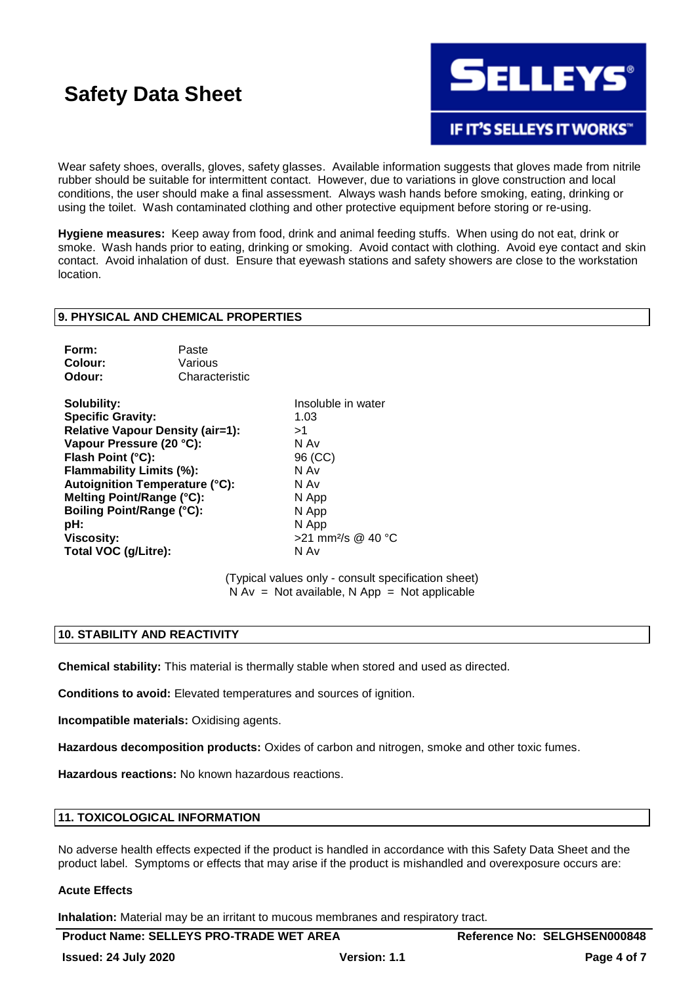

**IF IT'S SELLEYS IT WORKS"** 

Wear safety shoes, overalls, gloves, safety glasses. Available information suggests that gloves made from nitrile rubber should be suitable for intermittent contact. However, due to variations in glove construction and local conditions, the user should make a final assessment. Always wash hands before smoking, eating, drinking or using the toilet. Wash contaminated clothing and other protective equipment before storing or re-using.

**Hygiene measures:** Keep away from food, drink and animal feeding stuffs. When using do not eat, drink or smoke. Wash hands prior to eating, drinking or smoking. Avoid contact with clothing. Avoid eye contact and skin contact. Avoid inhalation of dust. Ensure that eyewash stations and safety showers are close to the workstation location.

#### **9. PHYSICAL AND CHEMICAL PROPERTIES**

| Form:   | Paste          |
|---------|----------------|
| Colour: | Various        |
| Odour:  | Characteristic |

**Solubility:** Insoluble in water **Specific Gravity:** 1.03 **Relative Vapour Density (air=1):** >1 **Vapour Pressure (20 °C):** N Av Flash Point (°C): 96 (CC) **Flammability Limits (%):** N Av **Autoignition Temperature (°C):** N Av **Melting Point/Range (°C):** N App **Boiling Point/Range (°C):** N App **pH:** N App **Viscosity:**  $>$ 21 mm<sup>2</sup>/s @ 40 °C **Total VOC (g/Litre):** N Av

(Typical values only - consult specification sheet)  $N Av = Not available, N App = Not applicable$ 

#### **10. STABILITY AND REACTIVITY**

**Chemical stability:** This material is thermally stable when stored and used as directed.

**Conditions to avoid:** Elevated temperatures and sources of ignition.

**Incompatible materials:** Oxidising agents.

**Hazardous decomposition products:** Oxides of carbon and nitrogen, smoke and other toxic fumes.

**Hazardous reactions:** No known hazardous reactions.

#### **11. TOXICOLOGICAL INFORMATION**

No adverse health effects expected if the product is handled in accordance with this Safety Data Sheet and the product label. Symptoms or effects that may arise if the product is mishandled and overexposure occurs are:

#### **Acute Effects**

**Inhalation:** Material may be an irritant to mucous membranes and respiratory tract.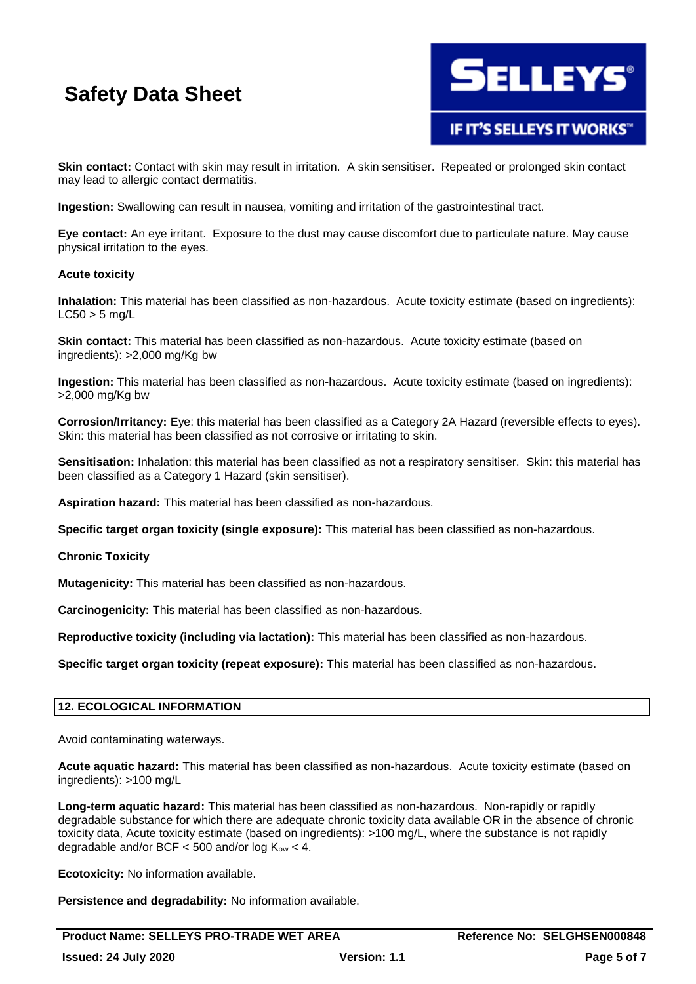

IF IT'S SELLEYS IT WORKS"

**Skin contact:** Contact with skin may result in irritation. A skin sensitiser. Repeated or prolonged skin contact may lead to allergic contact dermatitis.

**Ingestion:** Swallowing can result in nausea, vomiting and irritation of the gastrointestinal tract.

**Eye contact:** An eye irritant. Exposure to the dust may cause discomfort due to particulate nature. May cause physical irritation to the eyes.

#### **Acute toxicity**

**Inhalation:** This material has been classified as non-hazardous. Acute toxicity estimate (based on ingredients):  $LC50 > 5$  ma/L

**Skin contact:** This material has been classified as non-hazardous. Acute toxicity estimate (based on ingredients): >2,000 mg/Kg bw

**Ingestion:** This material has been classified as non-hazardous. Acute toxicity estimate (based on ingredients): >2,000 mg/Kg bw

**Corrosion/Irritancy:** Eye: this material has been classified as a Category 2A Hazard (reversible effects to eyes). Skin: this material has been classified as not corrosive or irritating to skin.

**Sensitisation:** Inhalation: this material has been classified as not a respiratory sensitiser. Skin: this material has been classified as a Category 1 Hazard (skin sensitiser).

**Aspiration hazard:** This material has been classified as non-hazardous.

**Specific target organ toxicity (single exposure):** This material has been classified as non-hazardous.

**Chronic Toxicity**

**Mutagenicity:** This material has been classified as non-hazardous.

**Carcinogenicity:** This material has been classified as non-hazardous.

**Reproductive toxicity (including via lactation):** This material has been classified as non-hazardous.

**Specific target organ toxicity (repeat exposure):** This material has been classified as non-hazardous.

#### **12. ECOLOGICAL INFORMATION**

Avoid contaminating waterways.

**Acute aquatic hazard:** This material has been classified as non-hazardous. Acute toxicity estimate (based on ingredients): >100 mg/L

**Long-term aquatic hazard:** This material has been classified as non-hazardous. Non-rapidly or rapidly degradable substance for which there are adequate chronic toxicity data available OR in the absence of chronic toxicity data, Acute toxicity estimate (based on ingredients): >100 mg/L, where the substance is not rapidly degradable and/or BCF  $<$  500 and/or log  $K_{ow}$   $<$  4.

**Ecotoxicity:** No information available.

**Persistence and degradability:** No information available.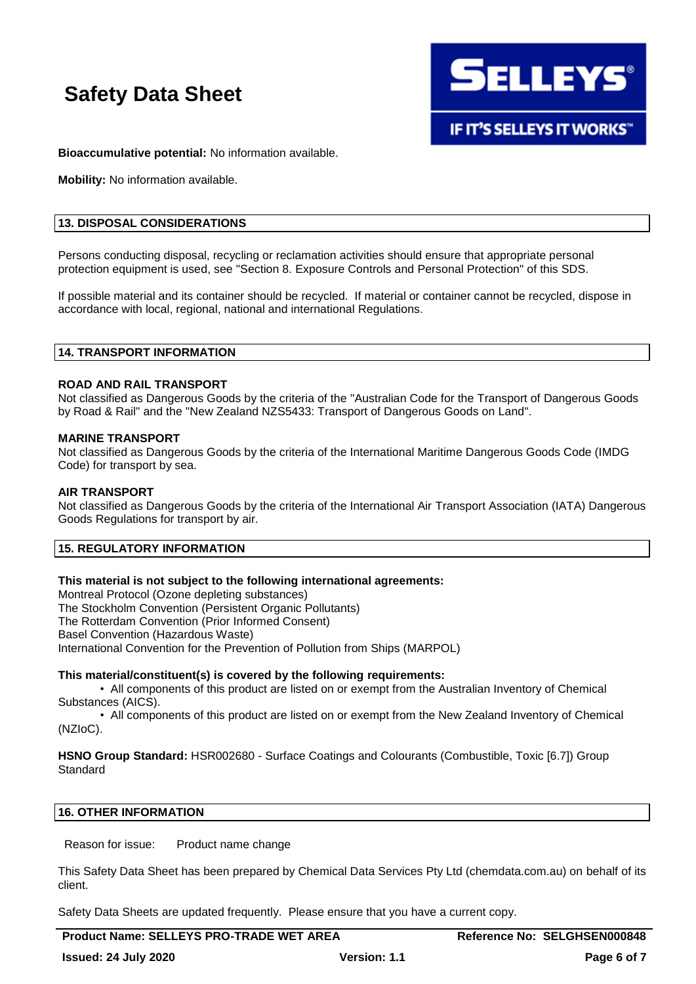

**IF IT'S SELLEYS IT WORKS"** 

**Bioaccumulative potential:** No information available.

**Mobility:** No information available.

#### **13. DISPOSAL CONSIDERATIONS**

Persons conducting disposal, recycling or reclamation activities should ensure that appropriate personal protection equipment is used, see "Section 8. Exposure Controls and Personal Protection" of this SDS.

If possible material and its container should be recycled. If material or container cannot be recycled, dispose in accordance with local, regional, national and international Regulations.

#### **14. TRANSPORT INFORMATION**

#### **ROAD AND RAIL TRANSPORT**

Not classified as Dangerous Goods by the criteria of the "Australian Code for the Transport of Dangerous Goods by Road & Rail" and the "New Zealand NZS5433: Transport of Dangerous Goods on Land".

#### **MARINE TRANSPORT**

Not classified as Dangerous Goods by the criteria of the International Maritime Dangerous Goods Code (IMDG Code) for transport by sea.

#### **AIR TRANSPORT**

Not classified as Dangerous Goods by the criteria of the International Air Transport Association (IATA) Dangerous Goods Regulations for transport by air.

#### **15. REGULATORY INFORMATION**

#### **This material is not subject to the following international agreements:**

Montreal Protocol (Ozone depleting substances)

The Stockholm Convention (Persistent Organic Pollutants)

The Rotterdam Convention (Prior Informed Consent)

Basel Convention (Hazardous Waste)

International Convention for the Prevention of Pollution from Ships (MARPOL)

#### **This material/constituent(s) is covered by the following requirements:**

• All components of this product are listed on or exempt from the Australian Inventory of Chemical Substances (AICS).

• All components of this product are listed on or exempt from the New Zealand Inventory of Chemical (NZIoC).

**HSNO Group Standard:** HSR002680 - Surface Coatings and Colourants (Combustible, Toxic [6.7]) Group Standard

### **16. OTHER INFORMATION**

Reason for issue: Product name change

This Safety Data Sheet has been prepared by Chemical Data Services Pty Ltd (chemdata.com.au) on behalf of its client.

Safety Data Sheets are updated frequently. Please ensure that you have a current copy.